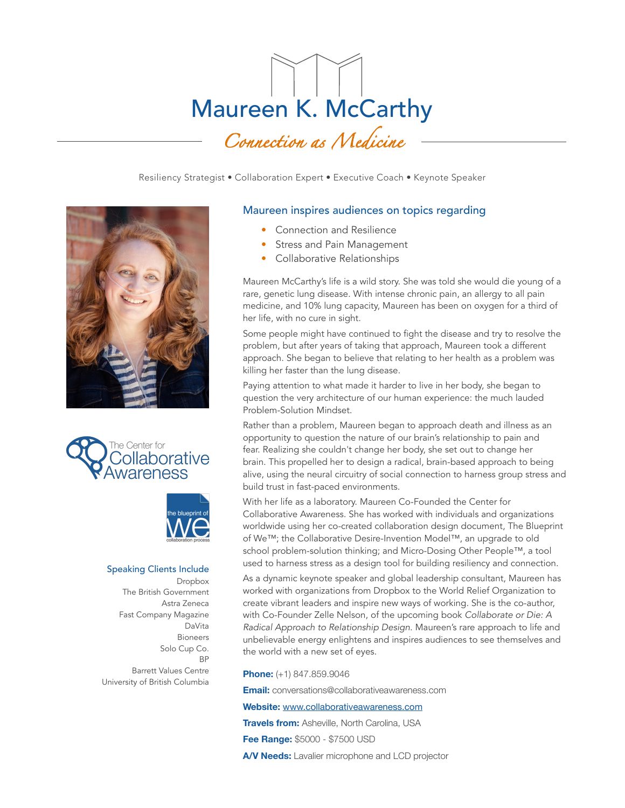# Maureen K. McCarthy *Connection as Medicine*

Resiliency Strategist • Collaboration Expert • Executive Coach • Keynote Speaker







### Speaking Clients Include Dropbox The British Government Astra Zeneca Fast Company Magazine DaVita Bioneers Solo Cup Co. **BP** Barrett Values Centre University of British Columbia

# Maureen inspires audiences on topics regarding

- Connection and Resilience
- Stress and Pain Management
- Collaborative Relationships

Maureen McCarthy's life is a wild story. She was told she would die young of a rare, genetic lung disease. With intense chronic pain, an allergy to all pain medicine, and 10% lung capacity, Maureen has been on oxygen for a third of her life, with no cure in sight.

Some people might have continued to fight the disease and try to resolve the problem, but after years of taking that approach, Maureen took a different approach. She began to believe that relating to her health as a problem was killing her faster than the lung disease.

Paying attention to what made it harder to live in her body, she began to question the very architecture of our human experience: the much lauded Problem-Solution Mindset.

Rather than a problem, Maureen began to approach death and illness as an opportunity to question the nature of our brain's relationship to pain and fear. Realizing she couldn't change her body, she set out to change her brain. This propelled her to design a radical, brain-based approach to being alive, using the neural circuitry of social connection to harness group stress and build trust in fast-paced environments.

With her life as a laboratory. Maureen Co-Founded the Center for Collaborative Awareness. She has worked with individuals and organizations worldwide using her co-created collaboration design document, The Blueprint of We™; the Collaborative Desire-Invention Model™, an upgrade to old school problem-solution thinking; and Micro-Dosing Other People™, a tool used to harness stress as a design tool for building resiliency and connection.

As a dynamic keynote speaker and global leadership consultant, Maureen has worked with organizations from Dropbox to the World Relief Organization to create vibrant leaders and inspire new ways of working. She is the co-author, with Co-Founder Zelle Nelson, of the upcoming book *Collaborate or Die: A Radical Approach to Relationship Design*. Maureen's rare approach to life and unbelievable energy enlightens and inspires audiences to see themselves and the world with a new set of eyes.

**Phone:** (+1) 847.859.9046

**Email:** conversations@collaborativeawareness.com

**Website:** [www.collaborativeawareness.com](http://www.collaborativeawareness.com)

**Travels from:** Asheville, North Carolina, USA

**Fee Range:** \$5000 - \$7500 USD

**A/V Needs:** Lavalier microphone and LCD projector